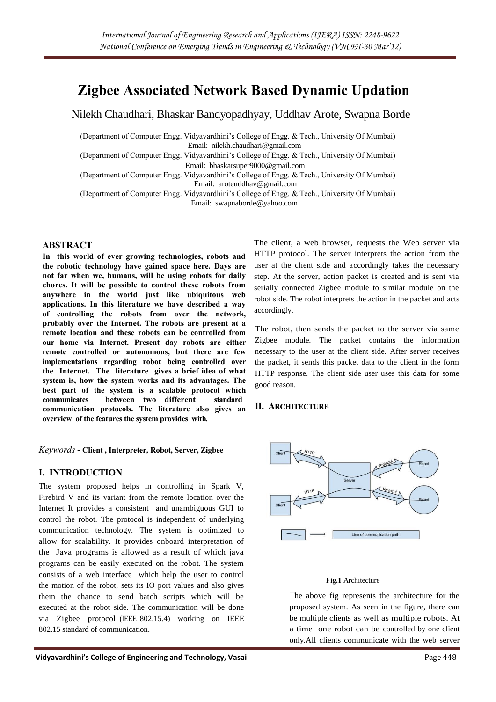# **Zigbee Associated Network Based Dynamic Updation**

Nilekh Chaudhari, Bhaskar Bandyopadhyay, Uddhav Arote, Swapna Borde

(Department of Computer Engg. Vidyavardhini's College of Engg. & Tech., University Of Mumbai) Email: nilekh.chaudhari@gmail.com (Department of Computer Engg. Vidyavardhini's College of Engg. & Tech., University Of Mumbai) Email: bhaskarsuper9000@gmail.com (Department of Computer Engg. Vidyavardhini's College of Engg. & Tech., University Of Mumbai) Email: aroteuddhav@gmail.com

(Department of Computer Engg. Vidyavardhini's College of Engg. & Tech., University Of Mumbai) Email: swapnaborde@yahoo.com

#### **ABSTRACT**

**In this world of ever growing technologies, robots and the robotic technology have gained space here. Days are not far when we, humans, will be using robots for daily chores. It will be possible to control these robots from anywhere in the world just like ubiquitous web applications. In this literature we have described a way of controlling the robots from over the network, probably over the Internet. The robots are present at a remote location and these robots can be controlled from our home via Internet. Present day robots are either remote controlled or autonomous, but there are few implementations regarding robot being controlled over the Internet. The literature gives a brief idea of what system is, how the system works and its advantages. The best part of the system is a scalable protocol which communicates between two different standard communication protocols. The literature also gives an overview of the features the system provides with***.*

*Keywords* **- Client , Interpreter, Robot, Server, Zigbee**

# **I. INTRODUCTION**

The system proposed helps in controlling in Spark V, Firebird V and its variant from the remote location over the Internet It provides a consistent and unambiguous GUI to control the robot. The protocol is independent of underlying communication technology. The system is optimized to allow for scalability. It provides onboard interpretation of the Java programs is allowed as a result of which java programs can be easily executed on the robot. The system consists of a web interface which help the user to control the motion of the robot, sets its IO port values and also gives them the chance to send batch scripts which will be executed at the robot side. The communication will be done via Zigbee protocol (IEEE 802.15.4) working on IEEE 802.15 standard of communication.

The client, a web browser, requests the Web server via HTTP protocol. The server interprets the action from the user at the client side and accordingly takes the necessary step. At the server, action packet is created and is sent via serially connected Zigbee module to similar module on the robot side. The robot interprets the action in the packet and acts accordingly.

The robot, then sends the packet to the server via same Zigbee module. The packet contains the information necessary to the user at the client side. After server receives the packet, it sends this packet data to the client in the form HTTP response. The client side user uses this data for some good reason.

# **II. ARCHITECTURE**



#### **Fig.1** Architecture

The above fig represents the architecture for the proposed system. As seen in the figure, there can be multiple clients as well as multiple robots. At a time one robot can be controlled by one client only.All clients communicate with the web server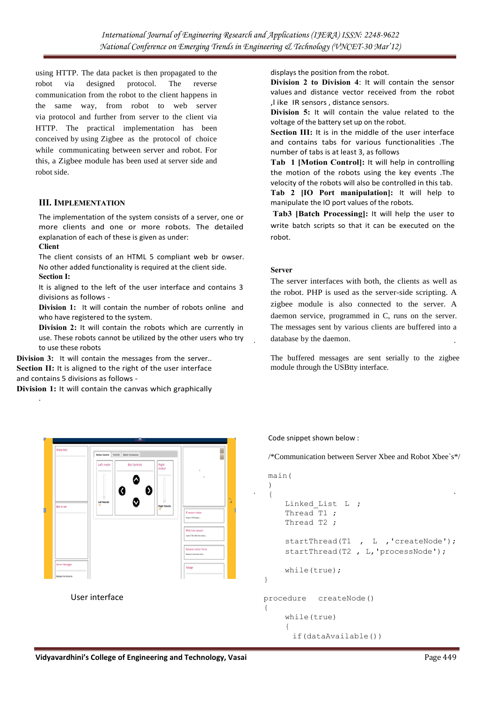using HTTP. The data packet is then propagated to the robot via designed protocol. The reverse communication from the robot to the client happens in the same way, from robot to web server via protocol and further from server to the client via HTTP. The practical implementation has been conceived by using Zigbee as the protocol of choice while communicating between server and robot. For this, a Zigbee module has been used at server side and robot side.

# **III. IMPLEMENTATION**

The implementation of the system consists of a server, one or more clients and one or more robots. The detailed explanation of each of these is given as under:

#### **Client**

.

The client consists of an HTML 5 compliant web br owser. No other added functionality is required at the client side. **Section I:**

It is aligned to the left of the user interface and contains 3 divisions as follows -

**Division 1:** It will contain the number of robots online and who have registered to the system.

**Division 2:** It will contain the robots which are currently in use. These robots cannot be utilized by the other users who try to use these robots

**Division 3:** It will contain the messages from the server.. **Section II:** It is aligned to the right of the user interface and contains 5 divisions as follows -

**Division 1:** It will contain the canvas which graphically

displays the position from the robot.

**Division 2 to Division 4**: It will contain the sensor values and distance vector received from the robot ,l ike IR sensors , distance sensors.

**Division 5:** It will contain the value related to the voltage of the battery set up on the robot.

**Section III:** It is in the middle of the user interface and contains tabs for various functionalities .The number of tabs is at least 3, as follows

**Tab 1 [Motion Control]:** It will help in controlling the motion of the robots using the key events .The velocity of the robots will also be controlled in this tab.

**Tab 2 [IO Port manipulation]:** It will help to manipulate the IO port values of the robots.

**Tab3 [Batch Processing]:** It will help the user to write batch scripts so that it can be executed on the robot.

#### **Server**

The server interfaces with both, the clients as well as the robot. PHP is used as the server-side scripting. A zigbee module is also connected to the server. A daemon service, programmed in C, runs on the server. The messages sent by various clients are buffered into a database by the daemon.

The buffered messages are sent serially to the zigbee module through the USBtty interface.

Code snippet shown below :

/\*Communication between Server Xbee and Robot Xbee`s\*/

```
main(
 ) 
 {
    Linked List L ;
    Thread T1 ;
    Thread T2 ;
    startThread(T1, L, 'createNode');
    startThread(T2, L, 'processNode');
    while(true); 
}
procedure createNode() 
{
    while(true) 
     {
```

```
if(dataAvailable())
```
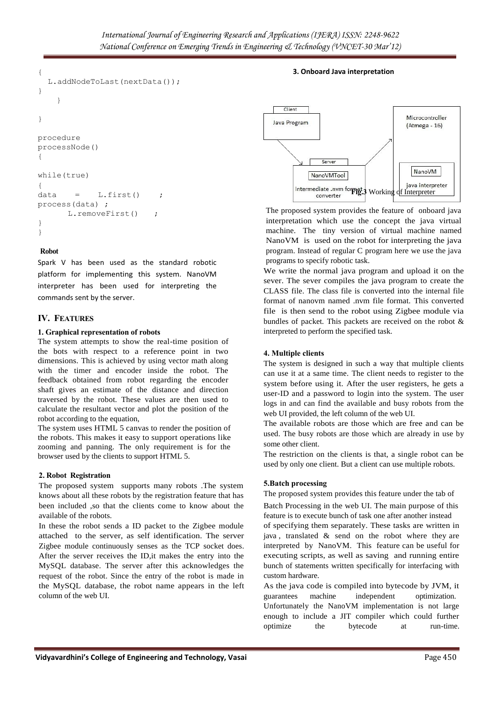```
{
  L.addNodeToLast(nextData()); 
}
    }
}
procedure 
processNode() 
{
while(true) 
{
data = L.first()process(data) ;
      L.removeFirst() ;
}
}
```
### **Robot**

Spark V has been used as the standard robotic platform for implementing this system. NanoVM interpreter has been used for interpreting the commands sent by the server.

# **IV. FEATURES**

#### **1. Graphical representation of robots**

The system attempts to show the real-time position of the bots with respect to a reference point in two dimensions. This is achieved by using vector math along with the timer and encoder inside the robot. The feedback obtained from robot regarding the encoder shaft gives an estimate of the distance and direction traversed by the robot. These values are then used to calculate the resultant vector and plot the position of the robot according to the equation,

The system uses HTML 5 canvas to render the position of the robots. This makes it easy to support operations like zooming and panning. The only requirement is for the browser used by the clients to support HTML 5.

#### **2. Robot Registration**

The proposed system supports many robots .The system knows about all these robots by the registration feature that has been included ,so that the clients come to know about the available of the robots.

In these the robot sends a ID packet to the Zigbee module attached to the server, as self identification. The server Zigbee module continuously senses as the TCP socket does. After the server receives the ID,it makes the entry into the MySQL database. The server after this acknowledges the request of the robot. Since the entry of the robot is made in the MySQL database, the robot name appears in the left column of the web UI.



The proposed system provides the feature of onboard java interpretation which use the concept the java virtual machine. The tiny version of virtual machine named NanoVM is used on the robot for interpreting the java program. Instead of regular C program here we use the java programs to specify robotic task.

We write the normal java program and upload it on the sever. The sever compiles the java program to create the CLASS file. The class file is converted into the internal file format of nanovm named .nvm file format. This converted file is then send to the robot using Zigbee module via bundles of packet. This packets are received on the robot & interpreted to perform the specified task.

# **4. Multiple clients**

The system is designed in such a way that multiple clients can use it at a same time. The client needs to register to the system before using it. After the user registers, he gets a user-ID and a password to login into the system. The user logs in and can find the available and busy robots from the web UI provided, the left column of the web UI.

The available robots are those which are free and can be used. The busy robots are those which are already in use by some other client.

The restriction on the clients is that, a single robot can be used by only one client. But a client can use multiple robots.

#### **5.Batch processing**

The proposed system provides this feature under the tab of

Batch Processing in the web UI. The main purpose of this feature is to execute bunch of task one after another instead of specifying them separately. These tasks are written in java , translated & send on the robot where they are interpreted by NanoVM. This feature can be useful for executing scripts, as well as saving and running entire bunch of statements written specifically for interfacing with custom hardware.

As the java code is compiled into bytecode by JVM, it guarantees machine independent optimization. Unfortunately the NanoVM implementation is not large enough to include a JIT compiler which could further optimize the bytecode at run-time.

# **3. Onboard Java interpretation**